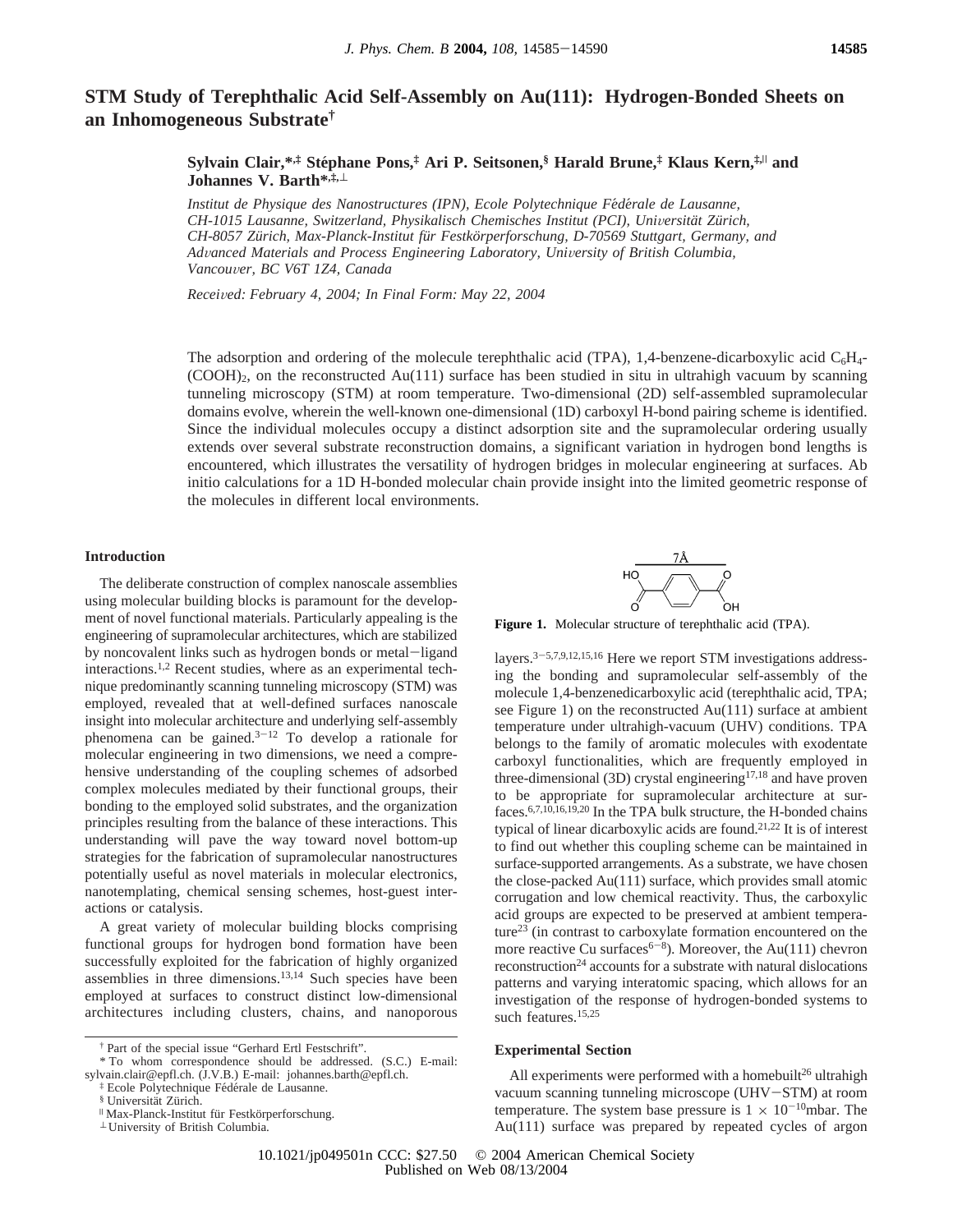# **STM Study of Terephthalic Acid Self-Assembly on Au(111): Hydrogen-Bonded Sheets on an Inhomogeneous Substrate†**

**Sylvain Clair,\*,‡ Ste**´**phane Pons,‡ Ari P. Seitsonen,§ Harald Brune,‡ Klaus Kern,‡,**<sup>|</sup> **and Johannes V. Barth\*,‡,**<sup>⊥</sup>

*Institut de Physique des Nanostructures (IPN), Ecole Polytechnique Fe*´*de*´*rale de Lausanne, CH-1015 Lausanne, Switzerland, Physikalisch Chemisches Institut (PCI), Uni*V*ersita¨t Zu¨rich, CH-8057 Zu¨rich, Max-Planck-Institut fu¨r Festko¨rperforschung, D-70569 Stuttgart, Germany, and* Advanced Materials and Process Engineering Laboratory, University of British Columbia, *Vancou*V*er, BC V6T 1Z4, Canada*

*Recei*V*ed: February 4, 2004; In Final Form: May 22, 2004*

The adsorption and ordering of the molecule terephthalic acid (TPA), 1,4-benzene-dicarboxylic acid  $C_6H_4$ - $(COOH)_2$ , on the reconstructed Au(111) surface has been studied in situ in ultrahigh vacuum by scanning tunneling microscopy (STM) at room temperature. Two-dimensional (2D) self-assembled supramolecular domains evolve, wherein the well-known one-dimensional (1D) carboxyl H-bond pairing scheme is identified. Since the individual molecules occupy a distinct adsorption site and the supramolecular ordering usually extends over several substrate reconstruction domains, a significant variation in hydrogen bond lengths is encountered, which illustrates the versatility of hydrogen bridges in molecular engineering at surfaces. Ab initio calculations for a 1D H-bonded molecular chain provide insight into the limited geometric response of the molecules in different local environments.

## **Introduction**

The deliberate construction of complex nanoscale assemblies using molecular building blocks is paramount for the development of novel functional materials. Particularly appealing is the engineering of supramolecular architectures, which are stabilized by noncovalent links such as hydrogen bonds or metal-ligand interactions.1,2 Recent studies, where as an experimental technique predominantly scanning tunneling microscopy (STM) was employed, revealed that at well-defined surfaces nanoscale insight into molecular architecture and underlying self-assembly phenomena can be gained. $3-12$  To develop a rationale for molecular engineering in two dimensions, we need a comprehensive understanding of the coupling schemes of adsorbed complex molecules mediated by their functional groups, their bonding to the employed solid substrates, and the organization principles resulting from the balance of these interactions. This understanding will pave the way toward novel bottom-up strategies for the fabrication of supramolecular nanostructures potentially useful as novel materials in molecular electronics, nanotemplating, chemical sensing schemes, host-guest interactions or catalysis.

A great variety of molecular building blocks comprising functional groups for hydrogen bond formation have been successfully exploited for the fabrication of highly organized assemblies in three dimensions.13,14 Such species have been employed at surfaces to construct distinct low-dimensional architectures including clusters, chains, and nanoporous



**Figure 1.** Molecular structure of terephthalic acid (TPA).

layers.3-5,7,9,12,15,16 Here we report STM investigations addressing the bonding and supramolecular self-assembly of the molecule 1,4-benzenedicarboxylic acid (terephthalic acid, TPA; see Figure 1) on the reconstructed Au(111) surface at ambient temperature under ultrahigh-vacuum (UHV) conditions. TPA belongs to the family of aromatic molecules with exodentate carboxyl functionalities, which are frequently employed in three-dimensional (3D) crystal engineering<sup>17,18</sup> and have proven to be appropriate for supramolecular architecture at surfaces.6,7,10,16,19,20 In the TPA bulk structure, the H-bonded chains typical of linear dicarboxylic acids are found.21,22 It is of interest to find out whether this coupling scheme can be maintained in surface-supported arrangements. As a substrate, we have chosen the close-packed Au(111) surface, which provides small atomic corrugation and low chemical reactivity. Thus, the carboxylic acid groups are expected to be preserved at ambient temperature23 (in contrast to carboxylate formation encountered on the more reactive Cu surfaces<sup> $6-8$ </sup>). Moreover, the Au(111) chevron  $reconstruction<sup>24</sup> accounts for a substrate with natural dislocations$ patterns and varying interatomic spacing, which allows for an investigation of the response of hydrogen-bonded systems to such features.<sup>15,25</sup>

## **Experimental Section**

All experiments were performed with a homebuilt<sup>26</sup> ultrahigh vacuum scanning tunneling microscope (UHV-STM) at room temperature. The system base pressure is  $1 \times 10^{-10}$ mbar. The Au(111) surface was prepared by repeated cycles of argon

10.1021/jp049501n CCC: \$27.50 © 2004 American Chemical Society Published on Web 08/13/2004

<sup>†</sup> Part of the special issue "Gerhard Ertl Festschrift".

<sup>\*</sup> To whom correspondence should be addressed. (S.C.) E-mail: sylvain.clair@epfl.ch. (J.V.B.) E-mail: johannes.barth@epfl.ch.

<sup>&</sup>lt;sup>‡</sup> Ecole Polytechnique Fédérale de Lausanne.<br>§ Universität Zürich.

 $^{\textrm{II}}$ Max-Planck-Institut für Festkörperforschung. $^{\textrm{I}}$ University of British Columbia.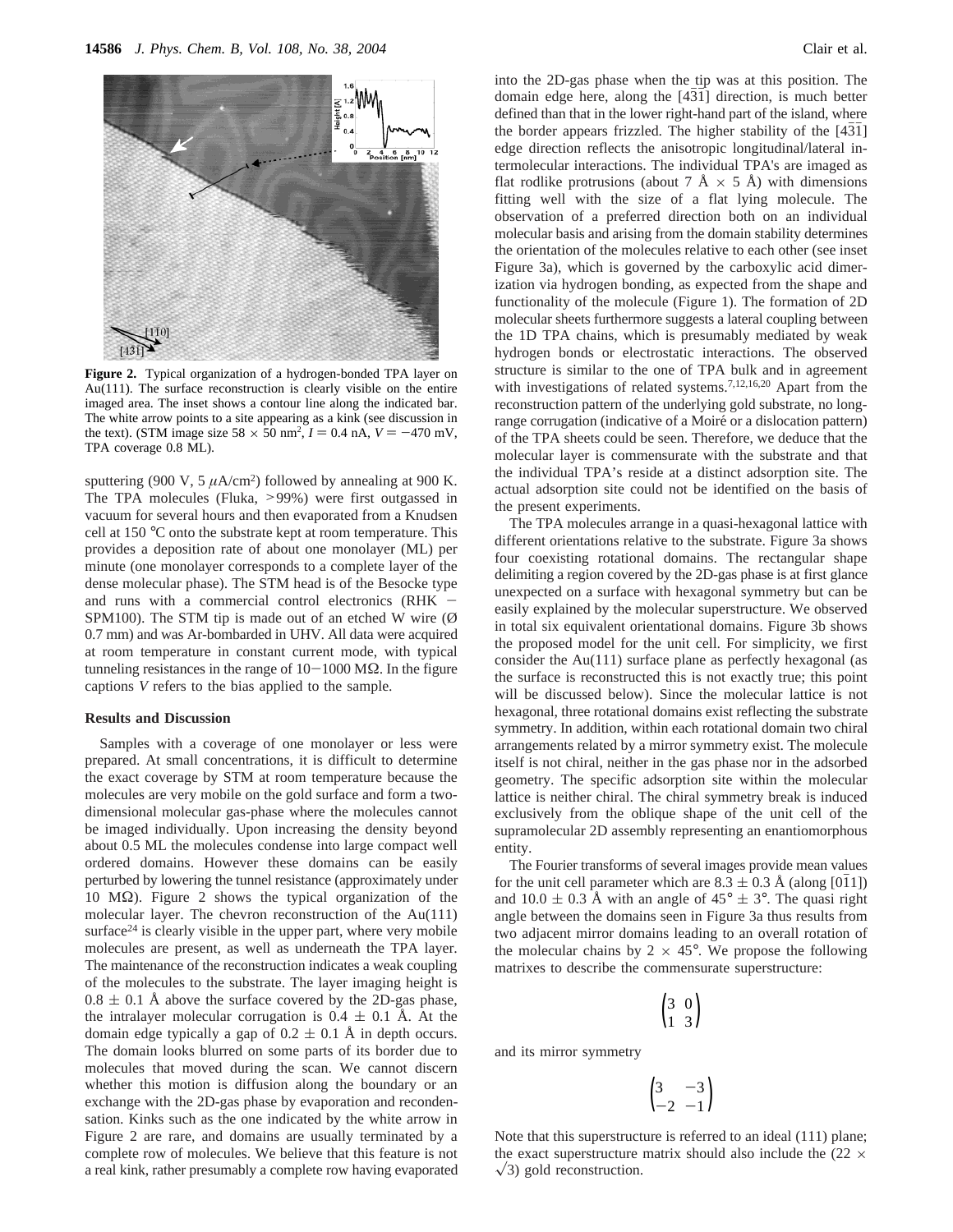

**Figure 2.** Typical organization of a hydrogen-bonded TPA layer on Au(111). The surface reconstruction is clearly visible on the entire imaged area. The inset shows a contour line along the indicated bar. The white arrow points to a site appearing as a kink (see discussion in the text). (STM image size  $58 \times 50$  nm<sup>2</sup>,  $I = 0.4$  nA,  $V = -470$  mV, TPA coverage 0.8 MJ TPA coverage 0.8 ML).

sputtering (900 V, 5  $\mu$ A/cm<sup>2</sup>) followed by annealing at 900 K. The TPA molecules (Fluka, >99%) were first outgassed in vacuum for several hours and then evaporated from a Knudsen cell at 150 °C onto the substrate kept at room temperature. This provides a deposition rate of about one monolayer (ML) per minute (one monolayer corresponds to a complete layer of the dense molecular phase). The STM head is of the Besocke type and runs with a commercial control electronics (RHK  $-$ SPM100). The STM tip is made out of an etched W wire  $(\emptyset)$ 0.7 mm) and was Ar-bombarded in UHV. All data were acquired at room temperature in constant current mode, with typical tunneling resistances in the range of  $10-1000$  MΩ. In the figure captions *V* refers to the bias applied to the sample.

## **Results and Discussion**

Samples with a coverage of one monolayer or less were prepared. At small concentrations, it is difficult to determine the exact coverage by STM at room temperature because the molecules are very mobile on the gold surface and form a twodimensional molecular gas-phase where the molecules cannot be imaged individually. Upon increasing the density beyond about 0.5 ML the molecules condense into large compact well ordered domains. However these domains can be easily perturbed by lowering the tunnel resistance (approximately under 10 MΩ). Figure 2 shows the typical organization of the molecular layer. The chevron reconstruction of the Au(111) surface $24$  is clearly visible in the upper part, where very mobile molecules are present, as well as underneath the TPA layer. The maintenance of the reconstruction indicates a weak coupling of the molecules to the substrate. The layer imaging height is  $0.8 \pm 0.1$  Å above the surface covered by the 2D-gas phase, the intralayer molecular corrugation is  $0.4 \pm 0.1$  Å. At the domain edge typically a gap of  $0.2 \pm 0.1$  Å in depth occurs. The domain looks blurred on some parts of its border due to molecules that moved during the scan. We cannot discern whether this motion is diffusion along the boundary or an exchange with the 2D-gas phase by evaporation and recondensation. Kinks such as the one indicated by the white arrow in Figure 2 are rare, and domains are usually terminated by a complete row of molecules. We believe that this feature is not a real kink, rather presumably a complete row having evaporated

into the 2D-gas phase when the tip was at this position. The domain edge here, along the [431] direction, is much better defined than that in the lower right-hand part of the island, where the border appears frizzled. The higher stability of the [431] edge direction reflects the anisotropic longitudinal/lateral intermolecular interactions. The individual TPA's are imaged as flat rodlike protrusions (about 7  $\AA \times 5 \AA$ ) with dimensions fitting well with the size of a flat lying molecule. The observation of a preferred direction both on an individual molecular basis and arising from the domain stability determines the orientation of the molecules relative to each other (see inset Figure 3a), which is governed by the carboxylic acid dimerization via hydrogen bonding, as expected from the shape and functionality of the molecule (Figure 1). The formation of 2D molecular sheets furthermore suggests a lateral coupling between the 1D TPA chains, which is presumably mediated by weak hydrogen bonds or electrostatic interactions. The observed structure is similar to the one of TPA bulk and in agreement with investigations of related systems.<sup>7,12,16,20</sup> Apart from the reconstruction pattern of the underlying gold substrate, no longrange corrugation (indicative of a Moiré or a dislocation pattern) of the TPA sheets could be seen. Therefore, we deduce that the molecular layer is commensurate with the substrate and that the individual TPA's reside at a distinct adsorption site. The actual adsorption site could not be identified on the basis of the present experiments.

The TPA molecules arrange in a quasi-hexagonal lattice with different orientations relative to the substrate. Figure 3a shows four coexisting rotational domains. The rectangular shape delimiting a region covered by the 2D-gas phase is at first glance unexpected on a surface with hexagonal symmetry but can be easily explained by the molecular superstructure. We observed in total six equivalent orientational domains. Figure 3b shows the proposed model for the unit cell. For simplicity, we first consider the Au(111) surface plane as perfectly hexagonal (as the surface is reconstructed this is not exactly true; this point will be discussed below). Since the molecular lattice is not hexagonal, three rotational domains exist reflecting the substrate symmetry. In addition, within each rotational domain two chiral arrangements related by a mirror symmetry exist. The molecule itself is not chiral, neither in the gas phase nor in the adsorbed geometry. The specific adsorption site within the molecular lattice is neither chiral. The chiral symmetry break is induced exclusively from the oblique shape of the unit cell of the supramolecular 2D assembly representing an enantiomorphous entity.

The Fourier transforms of several images provide mean values for the unit cell parameter which are  $8.3 \pm 0.3$  Å (along [011]) and 10.0  $\pm$  0.3 Å with an angle of 45°  $\pm$  3°. The quasi right angle between the domains seen in Figure 3a thus results from two adjacent mirror domains leading to an overall rotation of the molecular chains by  $2 \times 45^{\circ}$ . We propose the following matrixes to describe the commensurate superstructure:

$$
\begin{pmatrix} 3 & 0 \\ 1 & 3 \end{pmatrix}
$$

and its mirror symmetry

$$
\begin{pmatrix} 3 & -3 \\ -2 & -1 \end{pmatrix}
$$

Note that this superstructure is referred to an ideal (111) plane; the exact superstructure matrix should also include the (22  $\times$  $\sqrt{3}$ ) gold reconstruction.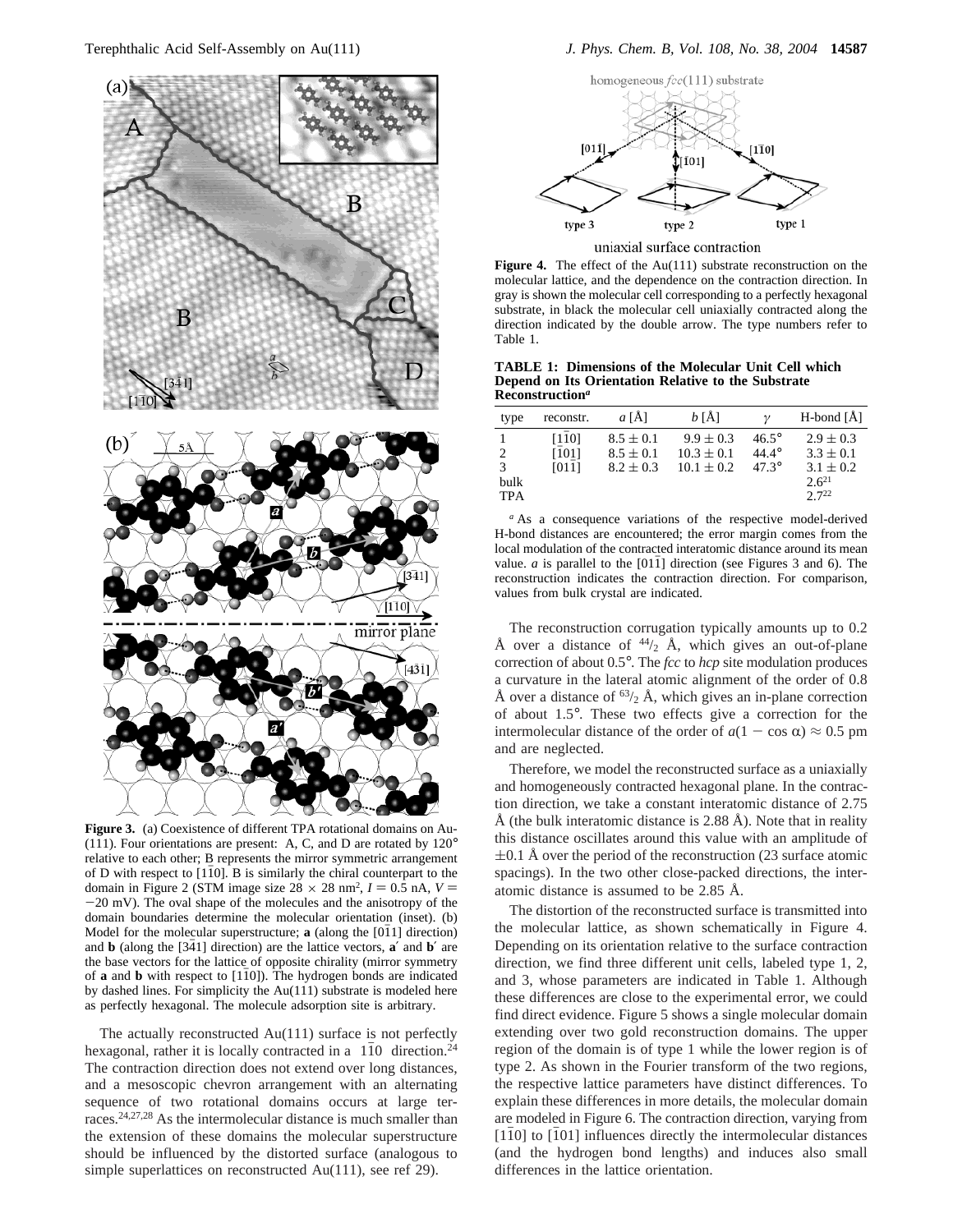

Figure 3. (a) Coexistence of different TPA rotational domains on Au-(111). Four orientations are present: A, C, and D are rotated by 120° relative to each other; B represents the mirror symmetric arrangement of D with respect to  $[110]$ . B is similarly the chiral counterpart to the domain in Figure 2 (STM image size  $28 \times 28$  nm<sup>2</sup>,  $I = 0.5$  nA,  $V =$  $-20$  mV). The oval shape of the molecules and the anisotropy of the domain boundaries determine the molecular orientation (inset). (b) Model for the molecular superstructure;  $\bf{a}$  (along the [011] direction) and **b** (along the [341] direction) are the lattice vectors, **a**<sup> $\prime$ </sup> and **b**<sup> $\prime$ </sup> are the base vectors for the lattice of opposite chirality (mirror symmetry of **a** and **b** with respect to [110]). The hydrogen bonds are indicated by dashed lines. For simplicity the Au(111) substrate is modeled here as perfectly hexagonal. The molecule adsorption site is arbitrary.

The actually reconstructed Au(111) surface is not perfectly hexagonal, rather it is locally contracted in a  $\langle 110 \rangle$  direction.<sup>24</sup> The contraction direction does not extend over long distances, and a mesoscopic chevron arrangement with an alternating sequence of two rotational domains occurs at large terraces.24,27,28 As the intermolecular distance is much smaller than the extension of these domains the molecular superstructure should be influenced by the distorted surface (analogous to simple superlattices on reconstructed Au(111), see ref 29).



uniaxial surface contraction

**Figure 4.** The effect of the Au(111) substrate reconstruction on the molecular lattice, and the dependence on the contraction direction. In gray is shown the molecular cell corresponding to a perfectly hexagonal substrate, in black the molecular cell uniaxially contracted along the direction indicated by the double arrow. The type numbers refer to Table 1.

**TABLE 1: Dimensions of the Molecular Unit Cell which Depend on Its Orientation Relative to the Substrate Reconstruction***<sup>a</sup>*

| type       | reconstr. | a[A]          | $b$ [Å]        |                | $H$ -bond $[\AA]$ |
|------------|-----------|---------------|----------------|----------------|-------------------|
|            | [110]     | $8.5 \pm 0.1$ | $9.9 \pm 0.3$  | $46.5^\circ$   | $2.9 \pm 0.3$     |
|            | [101]     | $8.5 \pm 0.1$ | $10.3 \pm 0.1$ | $44.4^\circ$   | $3.3 \pm 0.1$     |
| 3          | [011]     | $8.2 \pm 0.3$ | $10.1 \pm 0.2$ | $47.3^{\circ}$ | $3.1 \pm 0.2$     |
| bulk       |           |               |                |                | $2.6^{21}$        |
| <b>TPA</b> |           |               |                |                | $2.7^{22}$        |

*<sup>a</sup>* As a consequence variations of the respective model-derived H-bond distances are encountered; the error margin comes from the local modulation of the contracted interatomic distance around its mean value.  $a$  is parallel to the  $[011]$  direction (see Figures 3 and 6). The reconstruction indicates the contraction direction. For comparison, values from bulk crystal are indicated.

The reconstruction corrugation typically amounts up to 0.2 Å over a distance of  $44/2$  Å, which gives an out-of-plane correction of about 0.5°. The *fcc* to *hcp* site modulation produces a curvature in the lateral atomic alignment of the order of 0.8 Å over a distance of  $^{63/2}$  Å, which gives an in-plane correction of about 1.5°. These two effects give a correction for the intermolecular distance of the order of  $a(1 - \cos \alpha) \approx 0.5$  pm and are neglected.

Therefore, we model the reconstructed surface as a uniaxially and homogeneously contracted hexagonal plane. In the contraction direction, we take a constant interatomic distance of 2.75 Å (the bulk interatomic distance is 2.88 Å). Note that in reality this distance oscillates around this value with an amplitude of  $\pm 0.1$  Å over the period of the reconstruction (23 surface atomic spacings). In the two other close-packed directions, the interatomic distance is assumed to be 2.85 Å.

The distortion of the reconstructed surface is transmitted into the molecular lattice, as shown schematically in Figure 4. Depending on its orientation relative to the surface contraction direction, we find three different unit cells, labeled type 1, 2, and 3, whose parameters are indicated in Table 1. Although these differences are close to the experimental error, we could find direct evidence. Figure 5 shows a single molecular domain extending over two gold reconstruction domains. The upper region of the domain is of type 1 while the lower region is of type 2. As shown in the Fourier transform of the two regions, the respective lattice parameters have distinct differences. To explain these differences in more details, the molecular domain are modeled in Figure 6. The contraction direction, varying from [110] to [101] influences directly the intermolecular distances (and the hydrogen bond lengths) and induces also small differences in the lattice orientation.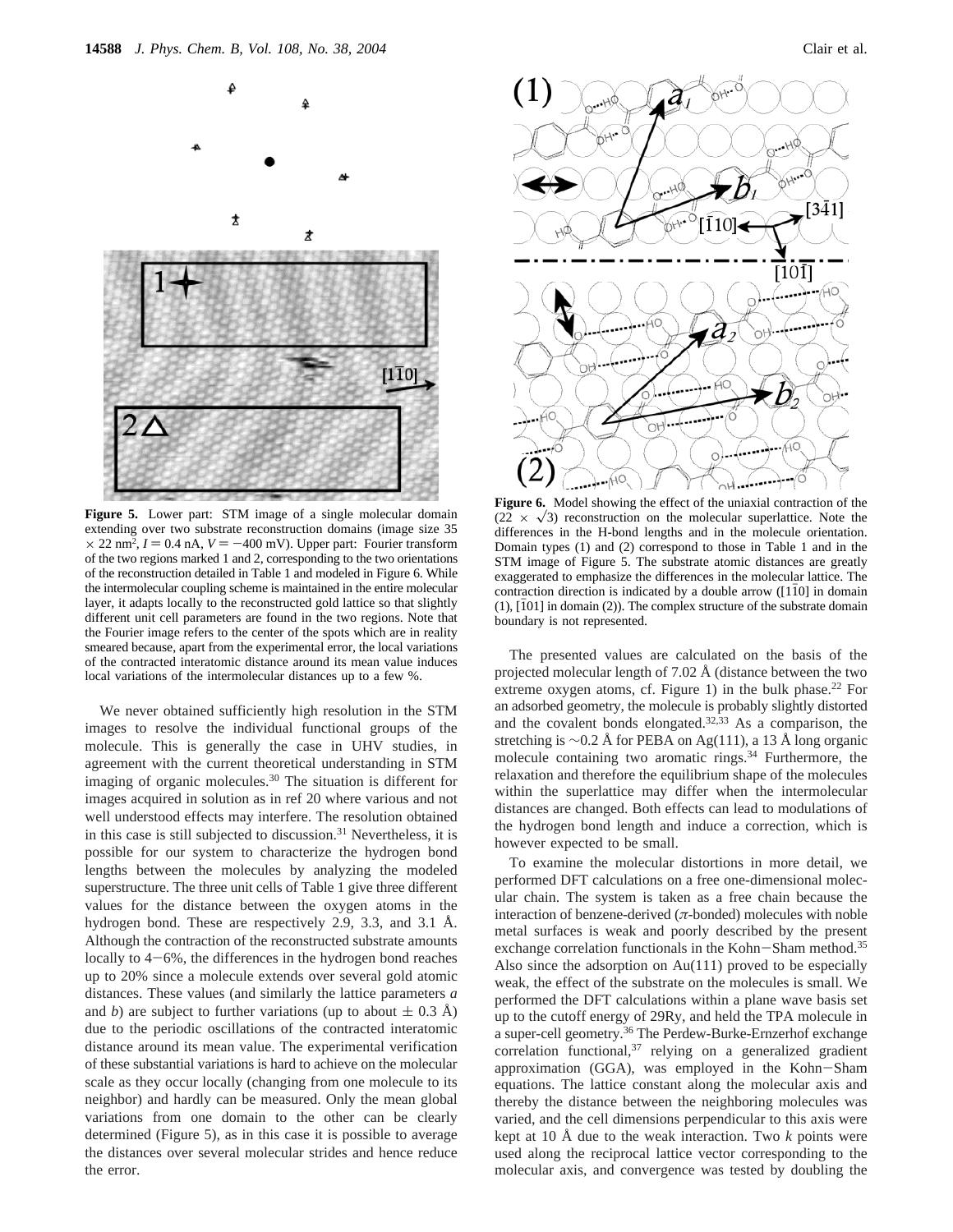

**Figure 5.** Lower part: STM image of a single molecular domain extending over two substrate reconstruction domains (image size 35  $\times$  22 nm<sup>2</sup>,  $I = 0.4$  nA,  $V = -400$  mV). Upper part: Fourier transform of the two regions marked 1 and 2, corresponding to the two orientations of the reconstruction detailed in Table 1 and modeled in Figure 6. While the intermolecular coupling scheme is maintained in the entire molecular layer, it adapts locally to the reconstructed gold lattice so that slightly different unit cell parameters are found in the two regions. Note that the Fourier image refers to the center of the spots which are in reality smeared because, apart from the experimental error, the local variations of the contracted interatomic distance around its mean value induces local variations of the intermolecular distances up to a few %.

We never obtained sufficiently high resolution in the STM images to resolve the individual functional groups of the molecule. This is generally the case in UHV studies, in agreement with the current theoretical understanding in STM imaging of organic molecules.<sup>30</sup> The situation is different for images acquired in solution as in ref 20 where various and not well understood effects may interfere. The resolution obtained in this case is still subjected to discussion.<sup>31</sup> Nevertheless, it is possible for our system to characterize the hydrogen bond lengths between the molecules by analyzing the modeled superstructure. The three unit cells of Table 1 give three different values for the distance between the oxygen atoms in the hydrogen bond. These are respectively 2.9, 3.3, and 3.1 Å. Although the contraction of the reconstructed substrate amounts locally to 4-6%, the differences in the hydrogen bond reaches up to 20% since a molecule extends over several gold atomic distances. These values (and similarly the lattice parameters *a* and *b*) are subject to further variations (up to about  $\pm$  0.3 Å) due to the periodic oscillations of the contracted interatomic distance around its mean value. The experimental verification of these substantial variations is hard to achieve on the molecular scale as they occur locally (changing from one molecule to its neighbor) and hardly can be measured. Only the mean global variations from one domain to the other can be clearly determined (Figure 5), as in this case it is possible to average the distances over several molecular strides and hence reduce the error.



**Figure 6.** Model showing the effect of the uniaxial contraction of the  $(22 \times \sqrt{3})$  reconstruction on the molecular superlattice. Note the differences in the H-bond lengths and in the molecule orientation. Domain types (1) and (2) correspond to those in Table 1 and in the STM image of Figure 5. The substrate atomic distances are greatly exaggerated to emphasize the differences in the molecular lattice. The contraction direction is indicated by a double arrow  $(110)$  in domain  $(1)$ ,  $[101]$  in domain  $(2)$ ). The complex structure of the substrate domain boundary is not represented.

The presented values are calculated on the basis of the projected molecular length of 7.02  $\AA$  (distance between the two extreme oxygen atoms, cf. Figure 1) in the bulk phase.<sup>22</sup> For an adsorbed geometry, the molecule is probably slightly distorted and the covalent bonds elongated.<sup>32,33</sup> As a comparison, the stretching is ∼0.2 Å for PEBA on Ag(111), a 13 Å long organic molecule containing two aromatic rings.<sup>34</sup> Furthermore, the relaxation and therefore the equilibrium shape of the molecules within the superlattice may differ when the intermolecular distances are changed. Both effects can lead to modulations of the hydrogen bond length and induce a correction, which is however expected to be small.

To examine the molecular distortions in more detail, we performed DFT calculations on a free one-dimensional molecular chain. The system is taken as a free chain because the interaction of benzene-derived (*π*-bonded) molecules with noble metal surfaces is weak and poorly described by the present exchange correlation functionals in the Kohn-Sham method.<sup>35</sup> Also since the adsorption on Au(111) proved to be especially weak, the effect of the substrate on the molecules is small. We performed the DFT calculations within a plane wave basis set up to the cutoff energy of 29Ry, and held the TPA molecule in a super-cell geometry.<sup>36</sup> The Perdew-Burke-Ernzerhof exchange correlation functional, $37$  relying on a generalized gradient approximation (GGA), was employed in the Kohn-Sham equations. The lattice constant along the molecular axis and thereby the distance between the neighboring molecules was varied, and the cell dimensions perpendicular to this axis were kept at 10 Å due to the weak interaction. Two *k* points were used along the reciprocal lattice vector corresponding to the molecular axis, and convergence was tested by doubling the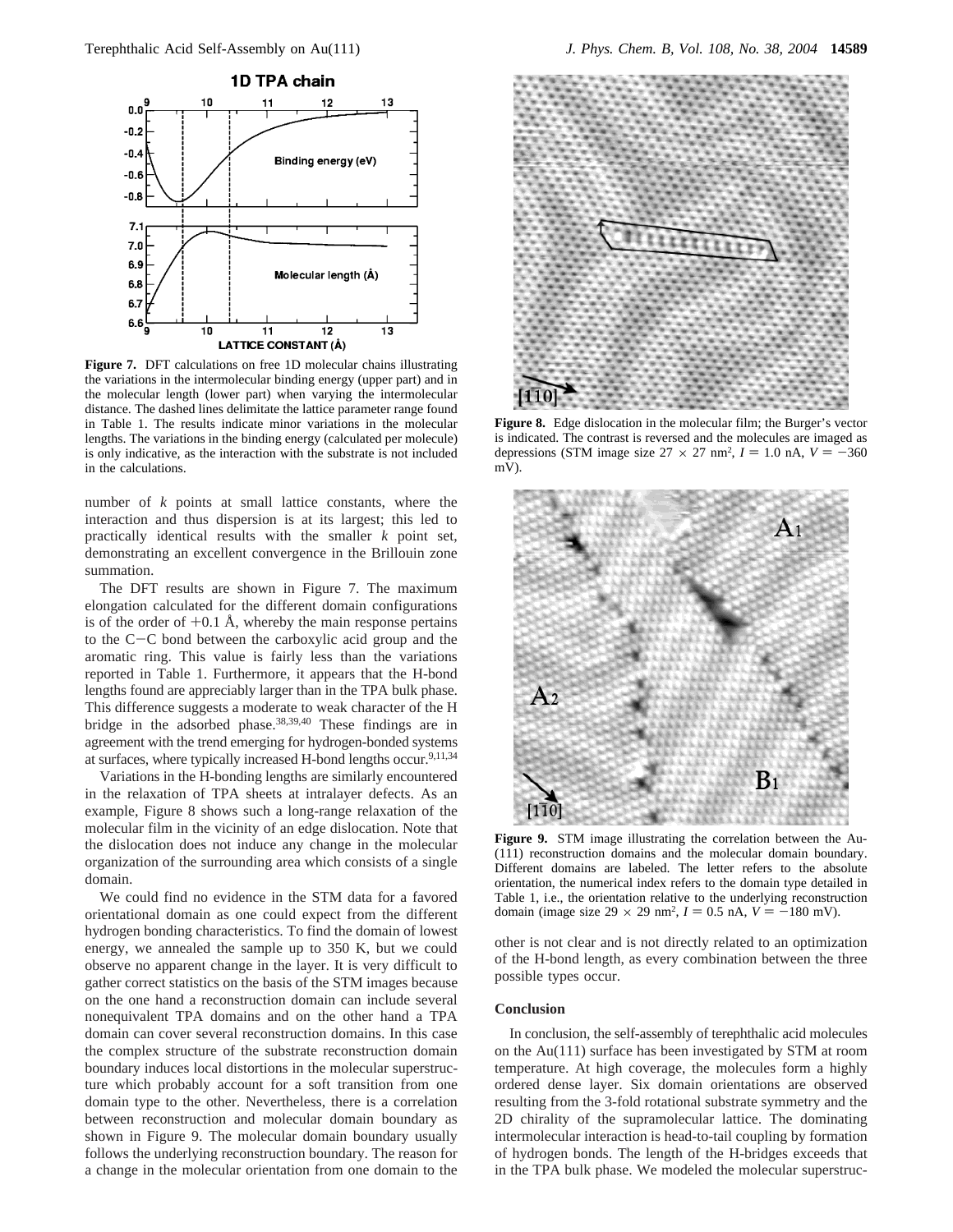

**Figure 7.** DFT calculations on free 1D molecular chains illustrating the variations in the intermolecular binding energy (upper part) and in the molecular length (lower part) when varying the intermolecular distance. The dashed lines delimitate the lattice parameter range found in Table 1. The results indicate minor variations in the molecular lengths. The variations in the binding energy (calculated per molecule) is only indicative, as the interaction with the substrate is not included in the calculations.

number of *k* points at small lattice constants, where the interaction and thus dispersion is at its largest; this led to practically identical results with the smaller *k* point set, demonstrating an excellent convergence in the Brillouin zone summation.

The DFT results are shown in Figure 7. The maximum elongation calculated for the different domain configurations is of the order of  $+0.1$  Å, whereby the main response pertains to the C-C bond between the carboxylic acid group and the aromatic ring. This value is fairly less than the variations reported in Table 1. Furthermore, it appears that the H-bond lengths found are appreciably larger than in the TPA bulk phase. This difference suggests a moderate to weak character of the H bridge in the adsorbed phase.38,39,40 These findings are in agreement with the trend emerging for hydrogen-bonded systems at surfaces, where typically increased H-bond lengths occur.<sup>9,11,34</sup>

Variations in the H-bonding lengths are similarly encountered in the relaxation of TPA sheets at intralayer defects. As an example, Figure 8 shows such a long-range relaxation of the molecular film in the vicinity of an edge dislocation. Note that the dislocation does not induce any change in the molecular organization of the surrounding area which consists of a single domain.

We could find no evidence in the STM data for a favored orientational domain as one could expect from the different hydrogen bonding characteristics. To find the domain of lowest energy, we annealed the sample up to 350 K, but we could observe no apparent change in the layer. It is very difficult to gather correct statistics on the basis of the STM images because on the one hand a reconstruction domain can include several nonequivalent TPA domains and on the other hand a TPA domain can cover several reconstruction domains. In this case the complex structure of the substrate reconstruction domain boundary induces local distortions in the molecular superstructure which probably account for a soft transition from one domain type to the other. Nevertheless, there is a correlation between reconstruction and molecular domain boundary as shown in Figure 9. The molecular domain boundary usually follows the underlying reconstruction boundary. The reason for a change in the molecular orientation from one domain to the



**Figure 8.** Edge dislocation in the molecular film; the Burger's vector is indicated. The contrast is reversed and the molecules are imaged as depressions (STM image size  $27 \times 27$  nm<sup>2</sup>,  $I = 1.0$  nA,  $V = -360$ mV).



**Figure 9.** STM image illustrating the correlation between the Au- (111) reconstruction domains and the molecular domain boundary. Different domains are labeled. The letter refers to the absolute orientation, the numerical index refers to the domain type detailed in Table 1, i.e., the orientation relative to the underlying reconstruction domain (image size  $29 \times 29$  nm<sup>2</sup>,  $I = 0.5$  nA,  $V = -180$  mV).

other is not clear and is not directly related to an optimization of the H-bond length, as every combination between the three possible types occur.

#### **Conclusion**

In conclusion, the self-assembly of terephthalic acid molecules on the Au(111) surface has been investigated by STM at room temperature. At high coverage, the molecules form a highly ordered dense layer. Six domain orientations are observed resulting from the 3-fold rotational substrate symmetry and the 2D chirality of the supramolecular lattice. The dominating intermolecular interaction is head-to-tail coupling by formation of hydrogen bonds. The length of the H-bridges exceeds that in the TPA bulk phase. We modeled the molecular superstruc